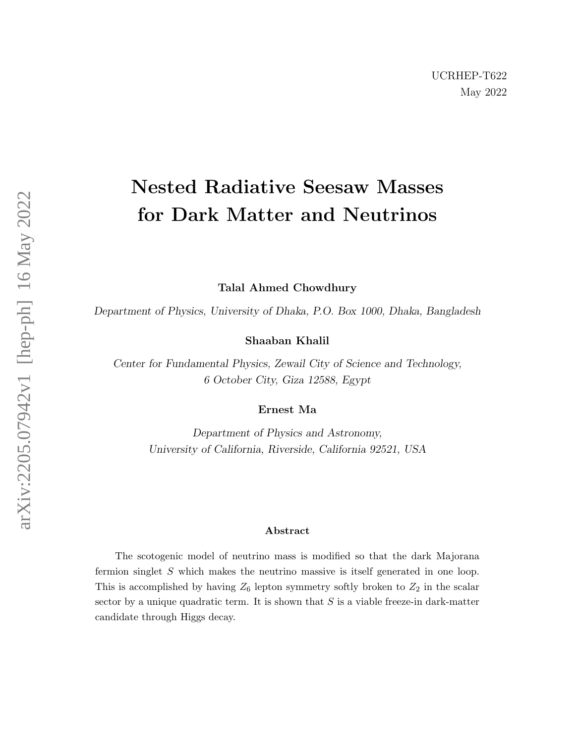## Nested Radiative Seesaw Masses for Dark Matter and Neutrinos

Talal Ahmed Chowdhury

Department of Physics, University of Dhaka, P.O. Box 1000, Dhaka, Bangladesh

Shaaban Khalil

Center for Fundamental Physics, Zewail City of Science and Technology, 6 October City, Giza 12588, Egypt

Ernest Ma

Department of Physics and Astronomy, University of California, Riverside, California 92521, USA

## Abstract

The scotogenic model of neutrino mass is modified so that the dark Majorana fermion singlet S which makes the neutrino massive is itself generated in one loop. This is accomplished by having  $Z_6$  lepton symmetry softly broken to  $Z_2$  in the scalar sector by a unique quadratic term. It is shown that  $S$  is a viable freeze-in dark-matter candidate through Higgs decay.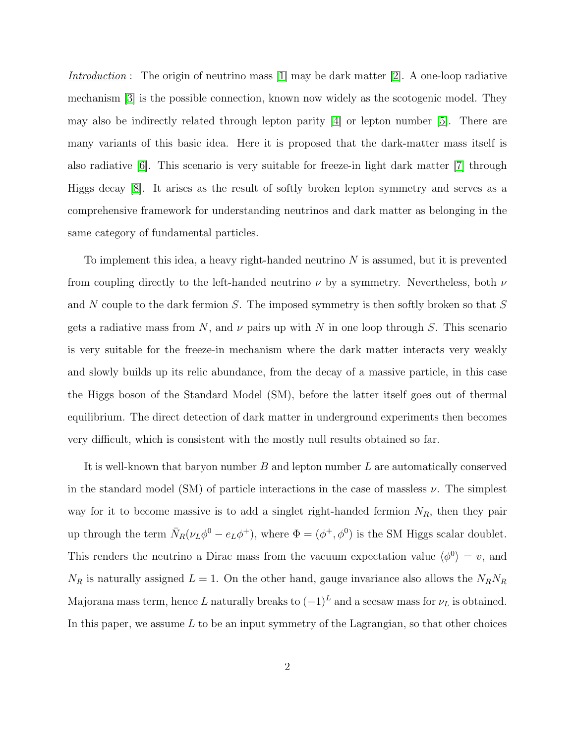Introduction : The origin of neutrino mass  $[1]$  may be dark matter  $[2]$ . A one-loop radiative mechanism [\[3\]](#page-9-2) is the possible connection, known now widely as the scotogenic model. They may also be indirectly related through lepton parity [\[4\]](#page-9-3) or lepton number [\[5\]](#page-9-4). There are many variants of this basic idea. Here it is proposed that the dark-matter mass itself is also radiative [\[6\]](#page-9-5). This scenario is very suitable for freeze-in light dark matter [\[7\]](#page-9-6) through Higgs decay [\[8\]](#page-9-7). It arises as the result of softly broken lepton symmetry and serves as a comprehensive framework for understanding neutrinos and dark matter as belonging in the same category of fundamental particles.

To implement this idea, a heavy right-handed neutrino  $N$  is assumed, but it is prevented from coupling directly to the left-handed neutrino  $\nu$  by a symmetry. Nevertheless, both  $\nu$ and N couple to the dark fermion S. The imposed symmetry is then softly broken so that  $S$ gets a radiative mass from N, and  $\nu$  pairs up with N in one loop through S. This scenario is very suitable for the freeze-in mechanism where the dark matter interacts very weakly and slowly builds up its relic abundance, from the decay of a massive particle, in this case the Higgs boson of the Standard Model (SM), before the latter itself goes out of thermal equilibrium. The direct detection of dark matter in underground experiments then becomes very difficult, which is consistent with the mostly null results obtained so far.

It is well-known that baryon number  $B$  and lepton number  $L$  are automatically conserved in the standard model (SM) of particle interactions in the case of massless  $\nu$ . The simplest way for it to become massive is to add a singlet right-handed fermion  $N_R$ , then they pair up through the term  $\bar{N}_R(\nu_L\phi^0 - e_L\phi^+)$ , where  $\Phi = (\phi^+, \phi^0)$  is the SM Higgs scalar doublet. This renders the neutrino a Dirac mass from the vacuum expectation value  $\langle \phi^0 \rangle = v$ , and  $N_R$  is naturally assigned  $L = 1$ . On the other hand, gauge invariance also allows the  $N_RN_R$ Majorana mass term, hence L naturally breaks to  $(-1)^L$  and a seesaw mass for  $\nu_L$  is obtained. In this paper, we assume  $L$  to be an input symmetry of the Lagrangian, so that other choices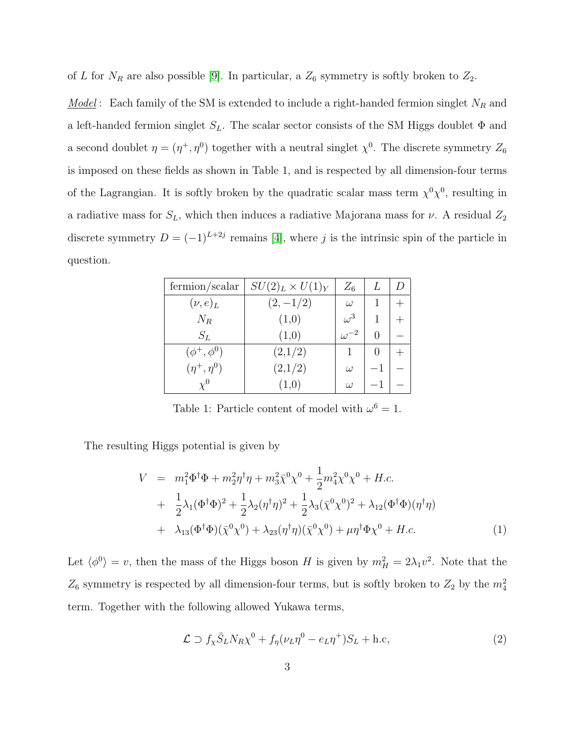of L for  $N_R$  are also possible [\[9\]](#page-9-8). In particular, a  $Z_6$  symmetry is softly broken to  $Z_2$ .

<u>Model</u>: Each family of the SM is extended to include a right-handed fermion singlet  $N_R$  and a left-handed fermion singlet  $S_L$ . The scalar sector consists of the SM Higgs doublet  $\Phi$  and a second doublet  $\eta = (\eta^+, \eta^0)$  together with a neutral singlet  $\chi^0$ . The discrete symmetry  $Z_6$ is imposed on these fields as shown in Table 1, and is respected by all dimension-four terms of the Lagrangian. It is softly broken by the quadratic scalar mass term  $\chi^0 \chi^0$ , resulting in a radiative mass for  $S_L$ , which then induces a radiative Majorana mass for  $\nu$ . A residual  $Z_2$ discrete symmetry  $D = (-1)^{L+2j}$  remains [\[4\]](#page-9-3), where j is the intrinsic spin of the particle in question.

| fermion/scalar     | $SU(2)_L \times U(1)_Y$ | $Z_6$         |  |
|--------------------|-------------------------|---------------|--|
| $(\nu, e)_L$       | $(2,-1/2)$              | $\omega$      |  |
| $N_R$              | (1,0)                   | $\omega^3$    |  |
| $S_L$              | (1,0)                   | $\omega^{-2}$ |  |
| $(\phi^+, \phi^0)$ | (2,1/2)                 |               |  |
| $(\eta^+, \eta^0)$ | (2,1/2)                 | $\omega$      |  |
|                    | (1,0)                   | $\omega$      |  |

Table 1: Particle content of model with  $\omega^6 = 1$ .

The resulting Higgs potential is given by

$$
V = m_1^2 \Phi^{\dagger} \Phi + m_2^2 \eta^{\dagger} \eta + m_3^2 \bar{\chi}^0 \chi^0 + \frac{1}{2} m_4^2 \chi^0 \chi^0 + H.c.
$$
  
+ 
$$
\frac{1}{2} \lambda_1 (\Phi^{\dagger} \Phi)^2 + \frac{1}{2} \lambda_2 (\eta^{\dagger} \eta)^2 + \frac{1}{2} \lambda_3 (\bar{\chi}^0 \chi^0)^2 + \lambda_{12} (\Phi^{\dagger} \Phi)(\eta^{\dagger} \eta)
$$
  
+ 
$$
\lambda_{13} (\Phi^{\dagger} \Phi)(\bar{\chi}^0 \chi^0) + \lambda_{23} (\eta^{\dagger} \eta)(\bar{\chi}^0 \chi^0) + \mu \eta^{\dagger} \Phi \chi^0 + H.c.
$$
 (1)

Let  $\langle \phi^0 \rangle = v$ , then the mass of the Higgs boson H is given by  $m_H^2 = 2\lambda_1 v^2$ . Note that the  $Z_6$  symmetry is respected by all dimension-four terms, but is softly broken to  $Z_2$  by the  $m_4^2$ term. Together with the following allowed Yukawa terms,

$$
\mathcal{L} \supset f_{\chi} \bar{S}_L N_R \chi^0 + f_{\eta} (\nu_L \eta^0 - e_L \eta^+) S_L + \text{h.c}, \tag{2}
$$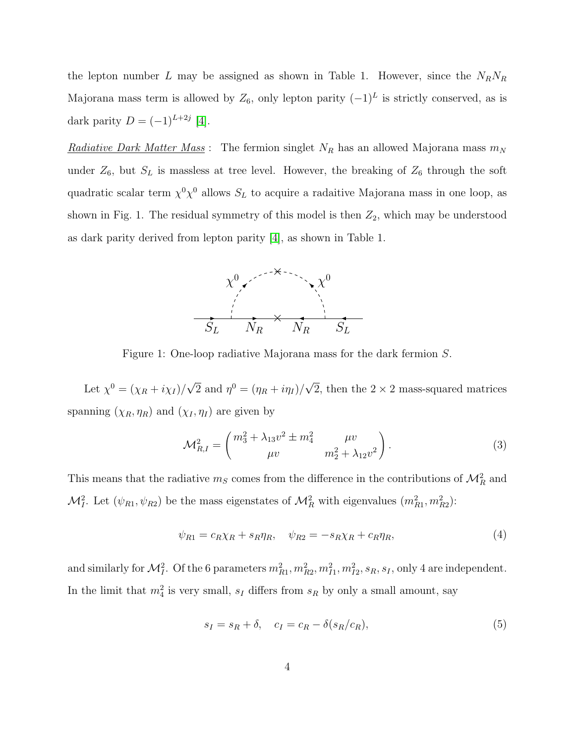the lepton number L may be assigned as shown in Table 1. However, since the  $N_RN_R$ Majorana mass term is allowed by  $Z_6$ , only lepton parity  $(-1)^L$  is strictly conserved, as is dark parity  $D = (-1)^{L+2j}$  [\[4\]](#page-9-3).

<u>Radiative Dark Matter Mass</u>: The fermion singlet  $N_R$  has an allowed Majorana mass  $m_N$ under  $Z_6$ , but  $S_L$  is massless at tree level. However, the breaking of  $Z_6$  through the soft quadratic scalar term  $\chi^0 \chi^0$  allows  $S_L$  to acquire a radaitive Majorana mass in one loop, as shown in Fig. 1. The residual symmetry of this model is then  $Z_2$ , which may be understood as dark parity derived from lepton parity [\[4\]](#page-9-3), as shown in Table 1.



Figure 1: One-loop radiative Majorana mass for the dark fermion S.

Let  $\chi^0 = (\chi_R + i\chi_I)/\sqrt{2}$  and  $\eta^0 = (\eta_R + i\eta_I)/\sqrt{2}$ , then the 2 × 2 mass-squared matrices spanning  $(\chi_R, \eta_R)$  and  $(\chi_I, \eta_I)$  are given by

$$
\mathcal{M}_{R,I}^2 = \begin{pmatrix} m_3^2 + \lambda_{13} v^2 \pm m_4^2 & \mu v \\ \mu v & m_2^2 + \lambda_{12} v^2 \end{pmatrix} . \tag{3}
$$

This means that the radiative  $m_S$  comes from the difference in the contributions of  $\mathcal{M}_R^2$  and  $\mathcal{M}_{I}^2$ . Let  $(\psi_{R1}, \psi_{R2})$  be the mass eigenstates of  $\mathcal{M}_{R}^2$  with eigenvalues  $(m_{R1}^2, m_{R2}^2)$ :

$$
\psi_{R1} = c_R \chi_R + s_R \eta_R, \quad \psi_{R2} = -s_R \chi_R + c_R \eta_R,\tag{4}
$$

and similarly for  $\mathcal{M}_I^2$ . Of the 6 parameters  $m_{R1}^2, m_{R2}^2, m_{I1}^2, m_{I2}^2, s_R, s_I$ , only 4 are independent. In the limit that  $m_4^2$  is very small,  $s_I$  differs from  $s_R$  by only a small amount, say

$$
s_I = s_R + \delta, \quad c_I = c_R - \delta(s_R/c_R), \tag{5}
$$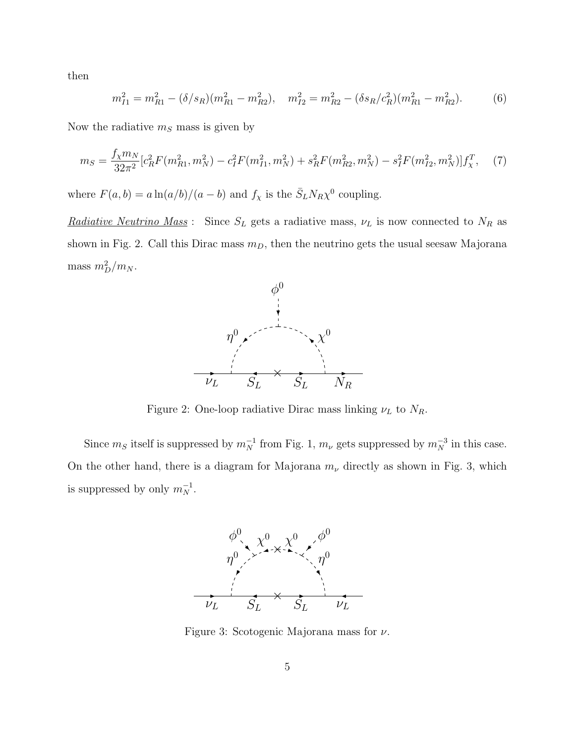then

$$
m_{I1}^2 = m_{R1}^2 - (\delta/s_R)(m_{R1}^2 - m_{R2}^2), \quad m_{I2}^2 = m_{R2}^2 - (\delta s_R/c_R^2)(m_{R1}^2 - m_{R2}^2). \tag{6}
$$

Now the radiative  $m<sub>S</sub>$  mass is given by

<span id="page-4-0"></span>
$$
m_S = \frac{f_\chi m_N}{32\pi^2} [c_R^2 F(m_{R1}^2, m_N^2) - c_I^2 F(m_{I1}^2, m_N^2) + s_R^2 F(m_{R2}^2, m_N^2) - s_I^2 F(m_{I2}^2, m_N^2)] f_\chi^T,\tag{7}
$$

where  $F(a, b) = a \ln(a/b)/(a - b)$  and  $f_\chi$  is the  $\bar{S}_L N_R \chi^0$  coupling.

<u>Radiative Neutrino Mass</u>: Since  $S_L$  gets a radiative mass,  $\nu_L$  is now connected to  $N_R$  as shown in Fig. 2. Call this Dirac mass  $m<sub>D</sub>$ , then the neutrino gets the usual seesaw Majorana mass  $m_D^2/m_N$ .



Figure 2: One-loop radiative Dirac mass linking  $\nu_L$  to  $N_R$ .

Since  $m_S$  itself is suppressed by  $m_N^{-1}$  from Fig. 1,  $m_\nu$  gets suppressed by  $m_N^{-3}$  in this case. On the other hand, there is a diagram for Majorana  $m_{\nu}$  directly as shown in Fig. 3, which is suppressed by only  $m_N^{-1}$ .



Figure 3: Scotogenic Majorana mass for  $\nu$ .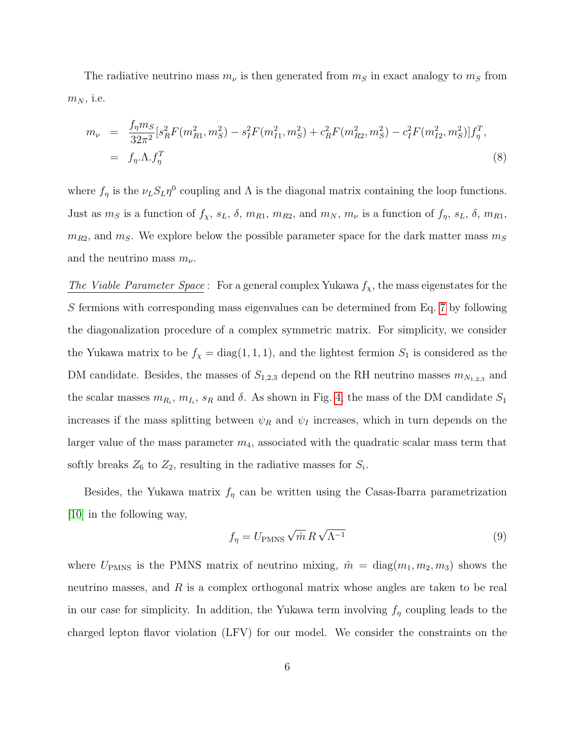The radiative neutrino mass  $m_{\nu}$  is then generated from  $m_S$  in exact analogy to  $m_S$  from  $m_N$ , i.e.

$$
m_{\nu} = \frac{f_{\eta} m_{S}}{32\pi^{2}} [s_{R}^{2} F(m_{R1}^{2}, m_{S}^{2}) - s_{I}^{2} F(m_{I1}^{2}, m_{S}^{2}) + c_{R}^{2} F(m_{R2}^{2}, m_{S}^{2}) - c_{I}^{2} F(m_{I2}^{2}, m_{S}^{2})] f_{\eta}^{T},
$$
  
=  $f_{\eta}.\Lambda.f_{\eta}^{T}$  (8)

where  $f_{\eta}$  is the  $\nu_L S_L \eta^0$  coupling and  $\Lambda$  is the diagonal matrix containing the loop functions. Just as  $m_S$  is a function of  $f_\chi$ ,  $s_L$ ,  $\delta$ ,  $m_{R1}$ ,  $m_{R2}$ , and  $m_N$ ,  $m_\nu$  is a function of  $f_\eta$ ,  $s_L$ ,  $\delta$ ,  $m_{R1}$ ,  $m_{R2}$ , and  $m_S$ . We explore below the possible parameter space for the dark matter mass  $m_S$ and the neutrino mass  $m_{\nu}$ .

The Viable Parameter Space: For a general complex Yukawa  $f_{\chi}$ , the mass eigenstates for the S fermions with corresponding mass eigenvalues can be determined from Eq. [7](#page-4-0) by following the diagonalization procedure of a complex symmetric matrix. For simplicity, we consider the Yukawa matrix to be  $f_{\chi} = \text{diag}(1, 1, 1)$ , and the lightest fermion  $S_1$  is considered as the DM candidate. Besides, the masses of  $S_{1,2,3}$  depend on the RH neutrino masses  $m_{N_{1,2,3}}$  and the scalar masses  $m_{R_i}, m_{I_i}, s_R$  and  $\delta$ . As shown in Fig. [4,](#page-6-0) the mass of the DM candidate  $S_1$ increases if the mass splitting between  $\psi_R$  and  $\psi_I$  increases, which in turn depends on the larger value of the mass parameter  $m_4$ , associated with the quadratic scalar mass term that softly breaks  $Z_6$  to  $Z_2$ , resulting in the radiative masses for  $S_i$ .

Besides, the Yukawa matrix  $f_{\eta}$  can be written using the Casas-Ibarra parametrization [\[10\]](#page-9-9) in the following way,

$$
f_{\eta} = U_{\text{PMNS}} \sqrt{\hat{m}} R \sqrt{\Lambda^{-1}}
$$
\n(9)

where  $U_{\text{PMNS}}$  is the PMNS matrix of neutrino mixing,  $\hat{m} = \text{diag}(m_1, m_2, m_3)$  shows the neutrino masses, and  $R$  is a complex orthogonal matrix whose angles are taken to be real in our case for simplicity. In addition, the Yukawa term involving  $f_{\eta}$  coupling leads to the charged lepton flavor violation (LFV) for our model. We consider the constraints on the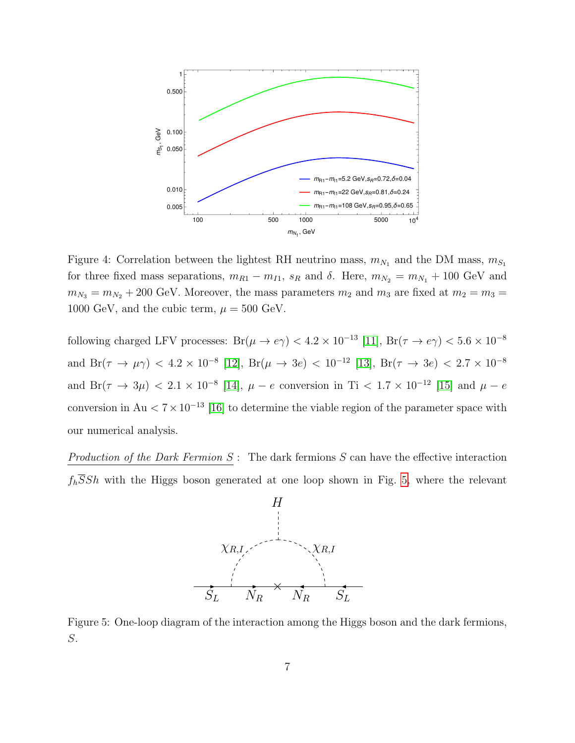

<span id="page-6-0"></span>Figure 4: Correlation between the lightest RH neutrino mass,  $m_{N_1}$  and the DM mass,  $m_{S_1}$ for three fixed mass separations,  $m_{R1} - m_{I1}$ ,  $s_R$  and  $\delta$ . Here,  $m_{N_2} = m_{N_1} + 100$  GeV and  $m_{N_3} = m_{N_2} + 200$  GeV. Moreover, the mass parameters  $m_2$  and  $m_3$  are fixed at  $m_2 = m_3 =$ 1000 GeV, and the cubic term,  $\mu = 500$  GeV.

following charged LFV processes:  $Br(\mu \to e\gamma) < 4.2 \times 10^{-13}$  [\[11\]](#page-9-10),  $Br(\tau \to e\gamma) < 5.6 \times 10^{-8}$ and  $Br(\tau \to \mu \gamma)$  < 4.2 × 10<sup>-8</sup> [\[12\]](#page-9-11),  $Br(\mu \to 3e)$  < 10<sup>-12</sup> [\[13\]](#page-10-0),  $Br(\tau \to 3e)$  < 2.7 × 10<sup>-8</sup> and  $Br(\tau \to 3\mu) < 2.1 \times 10^{-8}$  [\[14\]](#page-10-1),  $\mu - e$  conversion in Ti  $< 1.7 \times 10^{-12}$  [\[15\]](#page-10-2) and  $\mu - e$ conversion in Au  $\lt 7 \times 10^{-13}$  [\[16\]](#page-10-3) to determine the viable region of the parameter space with our numerical analysis.

Production of the Dark Fermion  $S:$  The dark fermions  $S$  can have the effective interaction  $f_h\overline{S}Sh$  with the Higgs boson generated at one loop shown in Fig. [5,](#page-6-1) where the relevant



<span id="page-6-1"></span>Figure 5: One-loop diagram of the interaction among the Higgs boson and the dark fermions, S.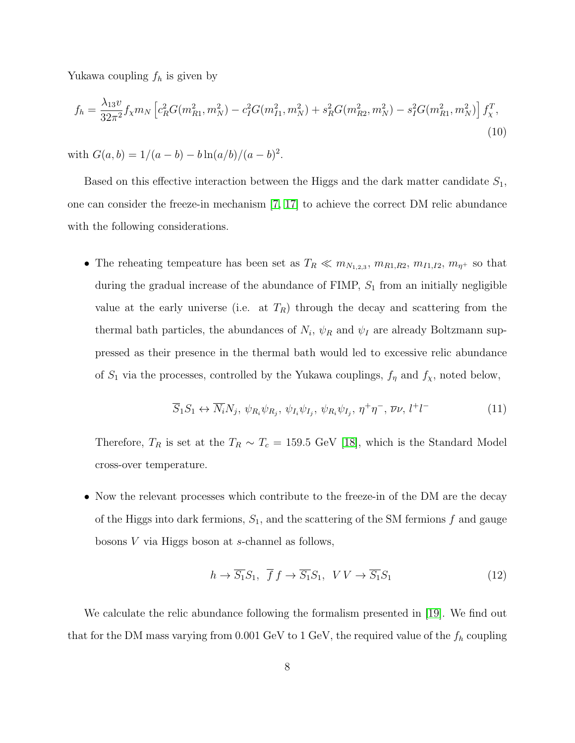Yukawa coupling  $f_h$  is given by

$$
f_h = \frac{\lambda_{13}v}{32\pi^2} f_\chi m_N \left[ c_R^2 G(m_{R1}^2, m_N^2) - c_I^2 G(m_{I1}^2, m_N^2) + s_R^2 G(m_{R2}^2, m_N^2) - s_I^2 G(m_{R1}^2, m_N^2) \right] f_\chi^T,
$$
\n(10)

with  $G(a, b) = 1/(a - b) - b \ln(a/b)/(a - b)^2$ .

Based on this effective interaction between the Higgs and the dark matter candidate  $S_1$ , one can consider the freeze-in mechanism [\[7,](#page-9-6) [17\]](#page-10-4) to achieve the correct DM relic abundance with the following considerations.

• The reheating tempeature has been set as  $T_R \ll m_{N_{1,2,3}}$ ,  $m_{R1,R2}$ ,  $m_{I1,I2}$ ,  $m_{\eta^+}$  so that during the gradual increase of the abundance of  $\text{FIMP}, S_1$  from an initially negligible value at the early universe (i.e. at  $T_R$ ) through the decay and scattering from the thermal bath particles, the abundances of  $N_i$ ,  $\psi_R$  and  $\psi_I$  are already Boltzmann suppressed as their presence in the thermal bath would led to excessive relic abundance of  $S_1$  via the processes, controlled by the Yukawa couplings,  $f_\eta$  and  $f_\chi$ , noted below,

$$
\overline{S}_1 S_1 \leftrightarrow \overline{N}_i N_j, \ \psi_{R_i} \psi_{R_j}, \ \psi_{I_i} \psi_{I_j}, \ \psi_{R_i} \psi_{I_j}, \ \eta^+ \eta^-, \ \overline{\nu} \nu, \ l^+ l^- \tag{11}
$$

Therefore,  $T_R$  is set at the  $T_R \sim T_c = 159.5 \text{ GeV}$  [\[18\]](#page-10-5), which is the Standard Model cross-over temperature.

• Now the relevant processes which contribute to the freeze-in of the DM are the decay of the Higgs into dark fermions,  $S_1$ , and the scattering of the SM fermions f and gauge bosons V via Higgs boson at s-channel as follows,

$$
h \to \overline{S_1} S_1, \ \overline{f} f \to \overline{S_1} S_1, \ \ VV \to \overline{S_1} S_1 \tag{12}
$$

We calculate the relic abundance following the formalism presented in [\[19\]](#page-10-6). We find out that for the DM mass varying from 0.001 GeV to 1 GeV, the required value of the  $f_h$  coupling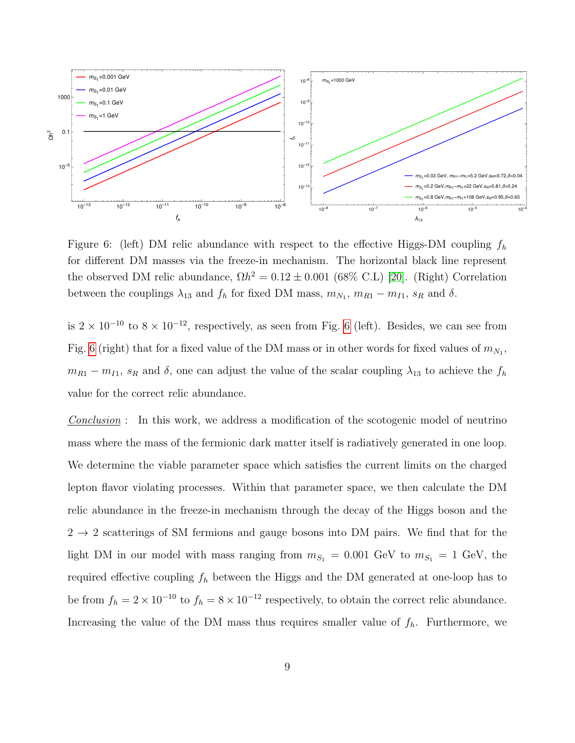

<span id="page-8-0"></span>Figure 6: (left) DM relic abundance with respect to the effective Higgs-DM coupling  $f_h$ for different DM masses via the freeze-in mechanism. The horizontal black line represent the observed DM relic abundance,  $\Omega h^2 = 0.12 \pm 0.001$  (68% C.L) [\[20\]](#page-10-7). (Right) Correlation between the couplings  $\lambda_{13}$  and  $f_h$  for fixed DM mass,  $m_{N_1}, m_{R1} - m_{I1}, s_R$  and  $\delta$ .

is  $2 \times 10^{-10}$  to  $8 \times 10^{-12}$ , respectively, as seen from Fig. [6](#page-8-0) (left). Besides, we can see from Fig. [6](#page-8-0) (right) that for a fixed value of the DM mass or in other words for fixed values of  $m_{N_1}$ ,  $m_{R1} - m_{I1}$ ,  $s_R$  and  $\delta$ , one can adjust the value of the scalar coupling  $\lambda_{13}$  to achieve the  $f_h$ value for the correct relic abundance.

Conclusion : In this work, we address a modification of the scotogenic model of neutrino mass where the mass of the fermionic dark matter itself is radiatively generated in one loop. We determine the viable parameter space which satisfies the current limits on the charged lepton flavor violating processes. Within that parameter space, we then calculate the DM relic abundance in the freeze-in mechanism through the decay of the Higgs boson and the  $2 \rightarrow 2$  scatterings of SM fermions and gauge bosons into DM pairs. We find that for the light DM in our model with mass ranging from  $m_{S_1} = 0.001$  GeV to  $m_{S_1} = 1$  GeV, the required effective coupling  $f_h$  between the Higgs and the DM generated at one-loop has to be from  $f_h = 2 \times 10^{-10}$  to  $f_h = 8 \times 10^{-12}$  respectively, to obtain the correct relic abundance. Increasing the value of the DM mass thus requires smaller value of  $f_h$ . Furthermore, we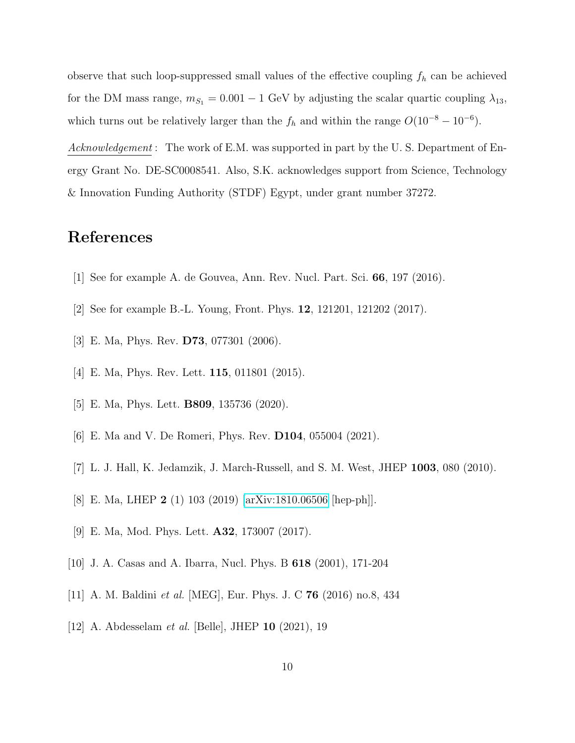observe that such loop-suppressed small values of the effective coupling  $f_h$  can be achieved for the DM mass range,  $m_{S_1} = 0.001 - 1$  GeV by adjusting the scalar quartic coupling  $\lambda_{13}$ , which turns out be relatively larger than the  $f_h$  and within the range  $O(10^{-8} - 10^{-6})$ .

Acknowledgement : The work of E.M. was supported in part by the U.S. Department of Energy Grant No. DE-SC0008541. Also, S.K. acknowledges support from Science, Technology & Innovation Funding Authority (STDF) Egypt, under grant number 37272.

## References

- <span id="page-9-1"></span><span id="page-9-0"></span>[1] See for example A. de Gouvea, Ann. Rev. Nucl. Part. Sci. 66, 197 (2016).
- <span id="page-9-2"></span>[2] See for example B.-L. Young, Front. Phys. 12, 121201, 121202 (2017).
- <span id="page-9-3"></span>[3] E. Ma, Phys. Rev. D73, 077301 (2006).
- <span id="page-9-4"></span>[4] E. Ma, Phys. Rev. Lett. 115, 011801 (2015).
- <span id="page-9-5"></span>[5] E. Ma, Phys. Lett. B809, 135736 (2020).
- <span id="page-9-6"></span>[6] E. Ma and V. De Romeri, Phys. Rev. D104, 055004 (2021).
- <span id="page-9-7"></span>[7] L. J. Hall, K. Jedamzik, J. March-Russell, and S. M. West, JHEP 1003, 080 (2010).
- <span id="page-9-8"></span>[8] E. Ma, LHEP 2 (1) 103 (2019) [\[arXiv:1810.06506](http://arxiv.org/abs/1810.06506) [hep-ph]].
- <span id="page-9-9"></span>[9] E. Ma, Mod. Phys. Lett. A32, 173007 (2017).
- <span id="page-9-10"></span>[10] J. A. Casas and A. Ibarra, Nucl. Phys. B 618 (2001), 171-204
- <span id="page-9-11"></span>[11] A. M. Baldini et al. [MEG], Eur. Phys. J. C 76 (2016) no.8, 434
- [12] A. Abdesselam et al. [Belle], JHEP 10 (2021), 19